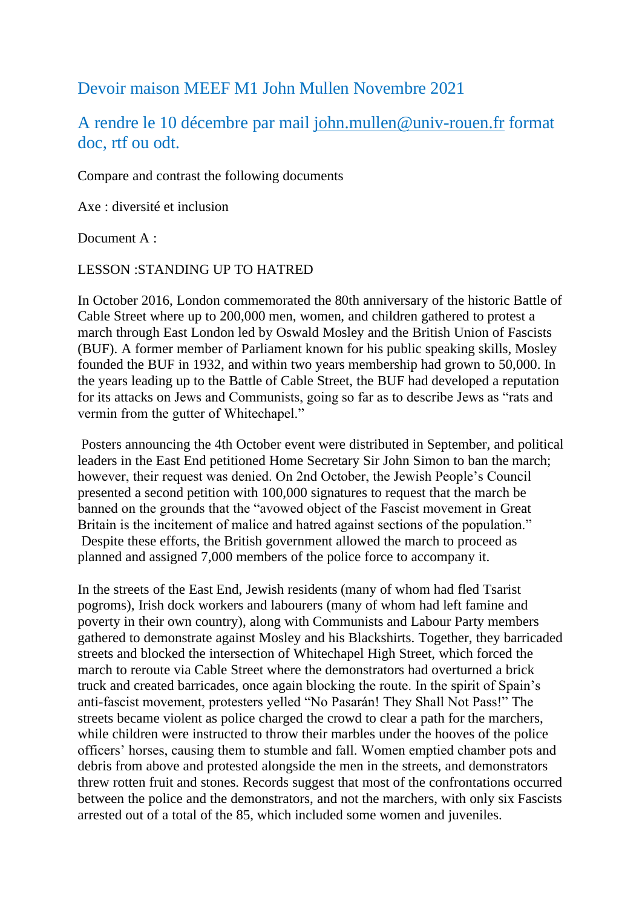# Devoir maison MEEF M1 John Mullen Novembre 2021

# A rendre le 10 décembre par mail [john.mullen@univ-rouen.fr](mailto:john.mullen@univ-rouen.fr) format doc, rtf ou odt.

Compare and contrast the following documents

Axe : diversité et inclusion

Document A :

#### LESSON :STANDING UP TO HATRED

In October 2016, London commemorated the 80th anniversary of the historic Battle of Cable Street where up to 200,000 men, women, and children gathered to protest a march through East London led by Oswald Mosley and the British Union of Fascists (BUF). A former member of Parliament known for his public speaking skills, Mosley founded the BUF in 1932, and within two years membership had grown to 50,000. In the years leading up to the Battle of Cable Street, the BUF had developed a reputation for its attacks on Jews and Communists, going so far as to describe Jews as "rats and vermin from the gutter of Whitechapel."

Posters announcing the 4th October event were distributed in September, and political leaders in the East End petitioned Home Secretary Sir John Simon to ban the march; however, their request was denied. On 2nd October, the Jewish People's Council presented a second petition with 100,000 signatures to request that the march be banned on the grounds that the "avowed object of the Fascist movement in Great Britain is the incitement of malice and hatred against sections of the population." Despite these efforts, the British government allowed the march to proceed as planned and assigned 7,000 members of the police force to accompany it.

In the streets of the East End, Jewish residents (many of whom had fled Tsarist pogroms), Irish dock workers and labourers (many of whom had left famine and poverty in their own country), along with Communists and Labour Party members gathered to demonstrate against Mosley and his Blackshirts. Together, they barricaded streets and blocked the intersection of Whitechapel High Street, which forced the march to reroute via Cable Street where the demonstrators had overturned a brick truck and created barricades, once again blocking the route. In the spirit of Spain's anti-fascist movement, protesters yelled "No Pasarán! They Shall Not Pass!" The streets became violent as police charged the crowd to clear a path for the marchers, while children were instructed to throw their marbles under the hooves of the police officers' horses, causing them to stumble and fall. Women emptied chamber pots and debris from above and protested alongside the men in the streets, and demonstrators threw rotten fruit and stones. Records suggest that most of the confrontations occurred between the police and the demonstrators, and not the marchers, with only six Fascists arrested out of a total of the 85, which included some women and juveniles.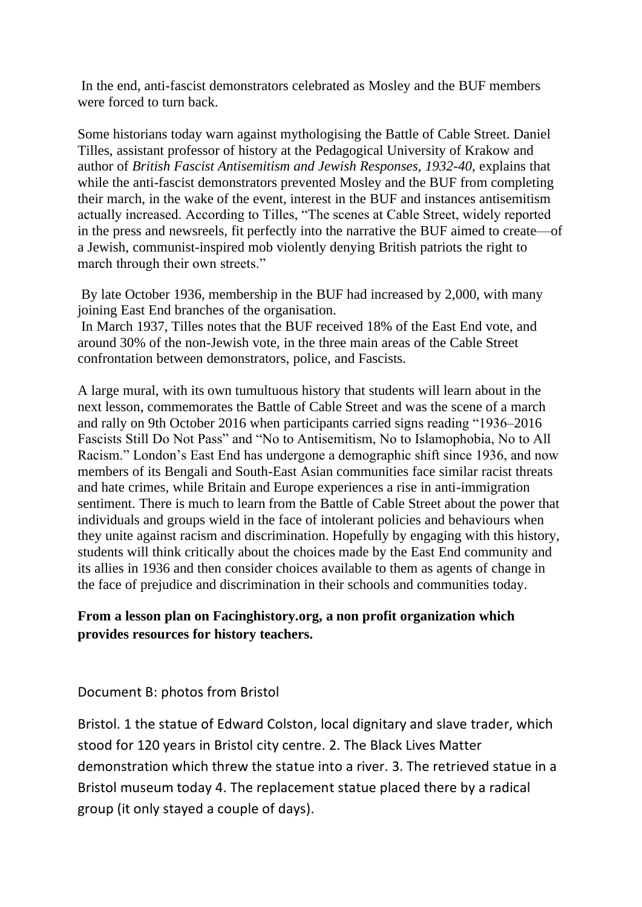In the end, anti-fascist demonstrators celebrated as Mosley and the BUF members were forced to turn back.

Some historians today warn against mythologising the Battle of Cable Street. Daniel Tilles, assistant professor of history at the Pedagogical University of Krakow and author of *British Fascist Antisemitism and Jewish Responses, 1932-40*, explains that while the anti-fascist demonstrators prevented Mosley and the BUF from completing their march, in the wake of the event, interest in the BUF and instances antisemitism actually increased. According to Tilles, "The scenes at Cable Street, widely reported in the press and newsreels, fit perfectly into the narrative the BUF aimed to create—of a Jewish, communist-inspired mob violently denying British patriots the right to march through their own streets."

By late October 1936, membership in the BUF had increased by 2,000, with many joining East End branches of the organisation.

In March 1937, Tilles notes that the BUF received 18% of the East End vote, and around 30% of the non-Jewish vote, in the three main areas of the Cable Street confrontation between demonstrators, police, and Fascists.

A large mural, with its own tumultuous history that students will learn about in the next lesson, commemorates the Battle of Cable Street and was the scene of a march and rally on 9th October 2016 when participants carried signs reading "1936–2016 Fascists Still Do Not Pass" and "No to Antisemitism, No to Islamophobia, No to All Racism." London's East End has undergone a demographic shift since 1936, and now members of its Bengali and South-East Asian communities face similar racist threats and hate crimes, while Britain and Europe experiences a rise in anti-immigration sentiment. There is much to learn from the Battle of Cable Street about the power that individuals and groups wield in the face of intolerant policies and behaviours when they unite against racism and discrimination. Hopefully by engaging with this history, students will think critically about the choices made by the East End community and its allies in 1936 and then consider choices available to them as agents of change in the face of prejudice and discrimination in their schools and communities today.

## **From a lesson plan on Facinghistory.org, a non profit organization which provides resources for history teachers.**

### Document B: photos from Bristol

Bristol. 1 the statue of Edward Colston, local dignitary and slave trader, which stood for 120 years in Bristol city centre. 2. The Black Lives Matter demonstration which threw the statue into a river. 3. The retrieved statue in a Bristol museum today 4. The replacement statue placed there by a radical group (it only stayed a couple of days).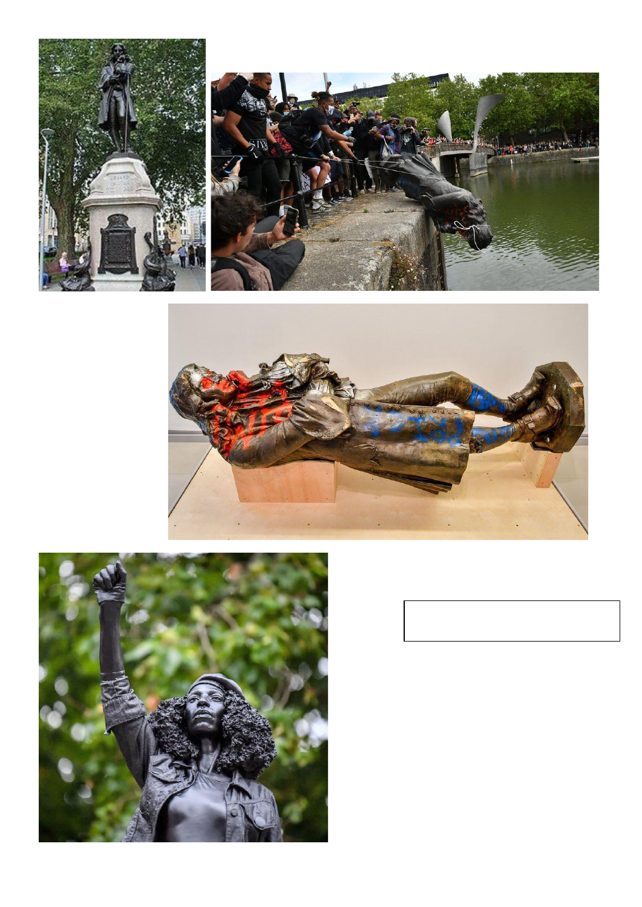



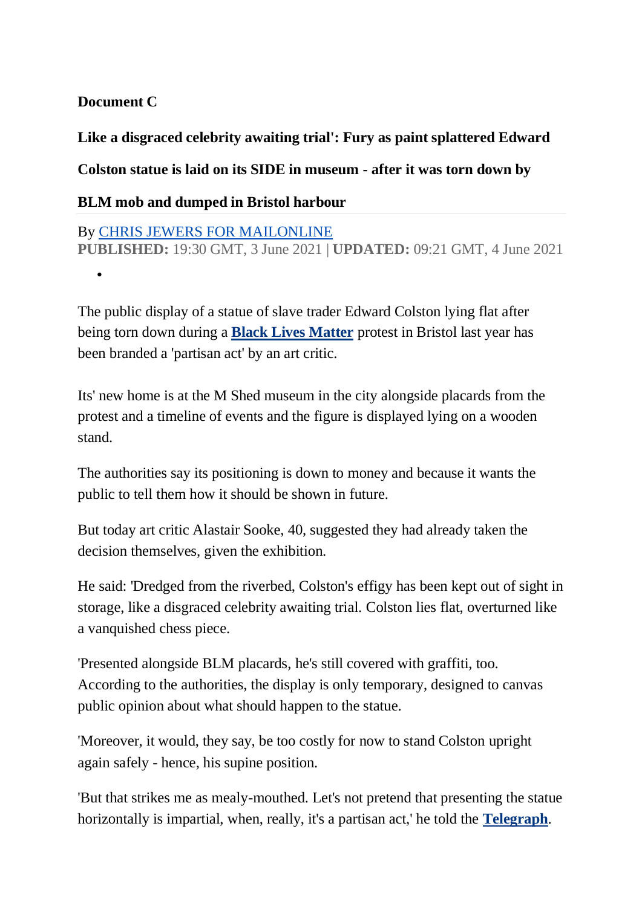# **Document C**

•

**Like a disgraced celebrity awaiting trial': Fury as paint splattered Edward** 

**Colston statue is laid on its SIDE in museum - after it was torn down by** 

## **BLM mob and dumped in Bristol harbour**

By CHRIS JEWERS FOR MAILONLINE **PUBLISHED:** 19:30 GMT, 3 June 2021 | **UPDATED:** 09:21 GMT, 4 June 2021

The public display of a statue of slave trader Edward Colston lying flat after being torn down during a **Black Lives Matter** protest in Bristol last year has been branded a 'partisan act' by an art critic.

Its' new home is at the M Shed museum in the city alongside placards from the protest and a timeline of events and the figure is displayed lying on a wooden stand.

The authorities say its positioning is down to money and because it wants the public to tell them how it should be shown in future.

But today art critic Alastair Sooke, 40, suggested they had already taken the decision themselves, given the exhibition.

He said: 'Dredged from the riverbed, Colston's effigy has been kept out of sight in storage, like a disgraced celebrity awaiting trial. Colston lies flat, overturned like a vanquished chess piece.

'Presented alongside BLM placards, he's still covered with graffiti, too. According to the authorities, the display is only temporary, designed to canvas public opinion about what should happen to the statue.

'Moreover, it would, they say, be too costly for now to stand Colston upright again safely - hence, his supine position.

'But that strikes me as mealy-mouthed. Let's not pretend that presenting the statue horizontally is impartial, when, really, it's a partisan act,' he told the **Telegraph**.